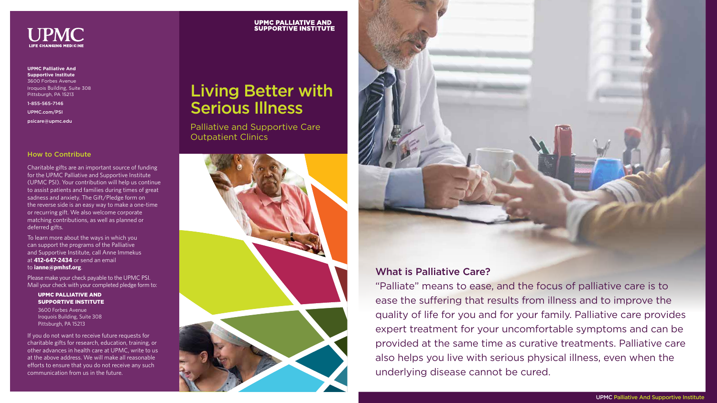# Living Better with Serious Illness

Palliative and Supportive Care Outpatient Clinics







**UPMC Palliative And Supportive Institute**  3600 Forbes Avenue Iroquois Building, Suite 308 Pittsburgh, PA 15213

1-855-565-7146

UPMC.com/PSI

psicare@upmc.edu

#### How to Contribute

Charitable gifts are an important source of funding for the UPMC Palliative and Supportive Institute (UPMC PSI). Your contribution will help us continue to assist patients and families during times of great sadness and anxiety. The Gift/Pledge form on the reverse side is an easy way to make a one-time or recurring gift. We also welcome corporate matching contributions, as well as planned or deferred gifts.

To learn more about the ways in which you can support the programs of the Palliative and Supportive Institute, call Anne Immekus at **412-647-2434** or send an email to **ianne@pmhsf.org**.

Please make your check payable to the UPMC PSI. Mail your check with your completed pledge form to:

#### UPMC PALLIATIVE AND SUPPORTIVE INSTITUTE

3600 Forbes Avenue Iroquois Building, Suite 308 Pittsburgh, PA 15213

If you do not want to receive future requests for charitable gifts for research, education, training, or other advances in health care at UPMC, write to us at the above address. We will make all reasonable efforts to ensure that you do not receive any such communication from us in the future.

## **UPMC PALLIATIVE AND<br>SUPPORTIVE INSTITUTE**

## What is Palliative Care?

"Palliate" means to ease, and the focus of palliative care is to ease the suffering that results from illness and to improve the quality of life for you and for your family. Palliative care provides expert treatment for your uncomfortable symptoms and can be provided at the same time as curative treatments. Palliative care also helps you live with serious physical illness, even when the underlying disease cannot be cured.